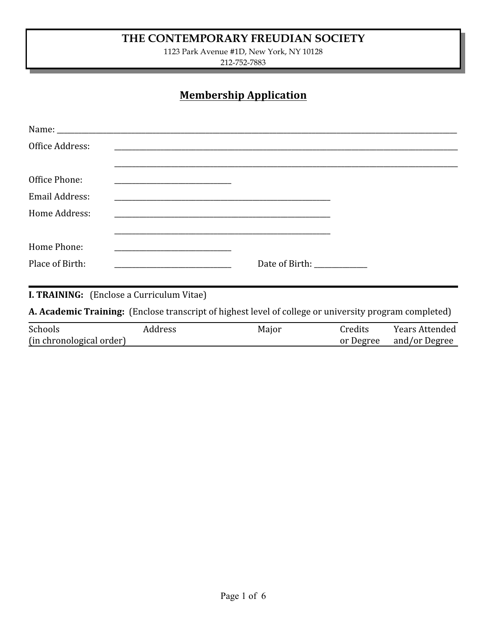## **THE CONTEMPORARY FREUDIAN SOCIETY**

1123 Park Avenue #1D, New York, NY 10128

212-752-7883

# **Membership Application**

| Office Address: |                                                                                                                                                                                                                               |                |  |  |
|-----------------|-------------------------------------------------------------------------------------------------------------------------------------------------------------------------------------------------------------------------------|----------------|--|--|
|                 |                                                                                                                                                                                                                               |                |  |  |
| Office Phone:   | <u> 1989 - Johann Barbara, martin amerikan basar dan berasal dari berasal dalam basar dalam basar dalam basar dala</u>                                                                                                        |                |  |  |
| Email Address:  | the control of the control of the control of the control of the control of the control of the control of the control of the control of the control of the control of the control of the control of the control of the control |                |  |  |
| Home Address:   | the control of the control of the control of the control of the control of the control of the control of the control of the control of the control of the control of the control of the control of the control of the control |                |  |  |
|                 |                                                                                                                                                                                                                               |                |  |  |
| Home Phone:     |                                                                                                                                                                                                                               |                |  |  |
| Place of Birth: |                                                                                                                                                                                                                               | Date of Birth: |  |  |

**I. TRAINING:** (Enclose a Curriculum Vitae)

**A. Academic Training:** (Enclose transcript of highest level of college or university program completed)

| Schools                  | Address | Maior | reditsات | Years Attended |
|--------------------------|---------|-------|----------|----------------|
| (in chronological order) |         |       | Degree   | and/or Degree  |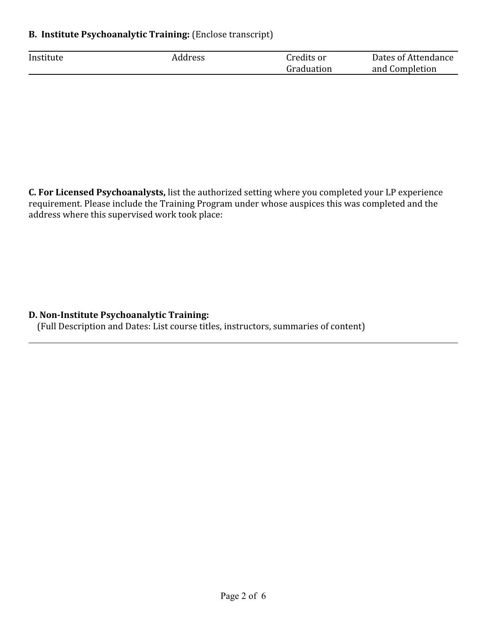#### **B. Institute Psychoanalytic Training:** (Enclose transcript)

| Institute | ddress | ^redits or | Dates of Attendance |  |
|-----------|--------|------------|---------------------|--|
|           |        | Graduation | and Completion      |  |

**C. For Licensed Psychoanalysts,** list the authorized setting where you completed your LP experience requirement. Please include the Training Program under whose auspices this was completed and the address where this supervised work took place:

#### **D. Non-Institute Psychoanalytic Training:**

(Full Description and Dates: List course titles, instructors, summaries of content)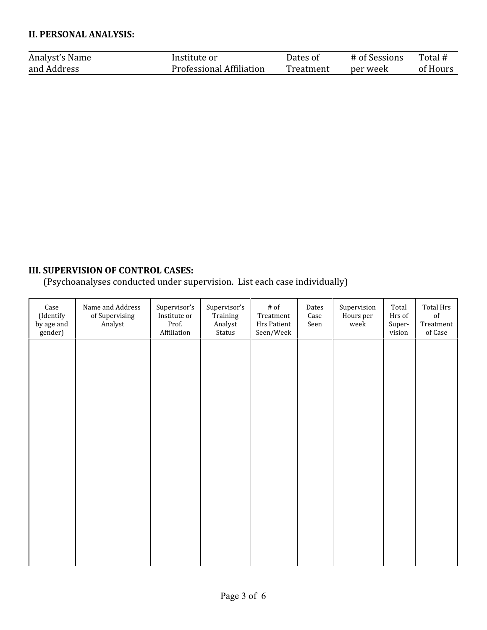#### **II. PERSONAL ANALYSIS:**

| Analyst's Name | Institute or             | .)ates of | # of Sessions | Total #  |
|----------------|--------------------------|-----------|---------------|----------|
| and Address    | Professional Affiliation | Treatment | per week      | of Hours |

### **III. SUPERVISION OF CONTROL CASES:**

(Psychoanalyses conducted under supervision. List each case individually)

| $\operatorname{Case}$<br>(Identify<br>by age and<br>gender) | Name and Address<br>of Supervising<br>Analyst | Supervisor's<br>Institute or<br>Prof.<br>Affiliation | Supervisor's<br>Training<br>Analyst<br>Status | $\#$ of<br>Treatment<br>Hrs Patient<br>Seen/Week | Dates<br>Case<br>Seen | Supervision<br>Hours per<br>week | Total<br>Hrs of<br>Super-<br>vision | Total Hrs<br>of<br>Treatment<br>of Case |
|-------------------------------------------------------------|-----------------------------------------------|------------------------------------------------------|-----------------------------------------------|--------------------------------------------------|-----------------------|----------------------------------|-------------------------------------|-----------------------------------------|
|                                                             |                                               |                                                      |                                               |                                                  |                       |                                  |                                     |                                         |
|                                                             |                                               |                                                      |                                               |                                                  |                       |                                  |                                     |                                         |
|                                                             |                                               |                                                      |                                               |                                                  |                       |                                  |                                     |                                         |
|                                                             |                                               |                                                      |                                               |                                                  |                       |                                  |                                     |                                         |
|                                                             |                                               |                                                      |                                               |                                                  |                       |                                  |                                     |                                         |
|                                                             |                                               |                                                      |                                               |                                                  |                       |                                  |                                     |                                         |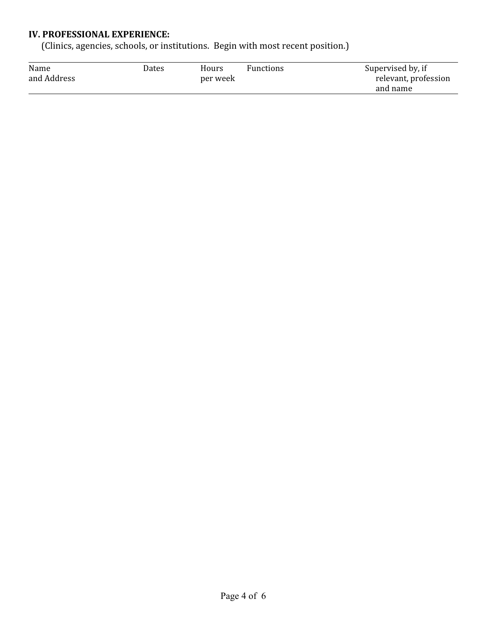#### **IV. PROFESSIONAL EXPERIENCE:**

(Clinics, agencies, schools, or institutions. Begin with most recent position.)

| Name        | Dates    | Hours | <b>Functions</b> | Supervised by, if    |
|-------------|----------|-------|------------------|----------------------|
| and Address | per week |       |                  | relevant, profession |
|             |          |       |                  | and name             |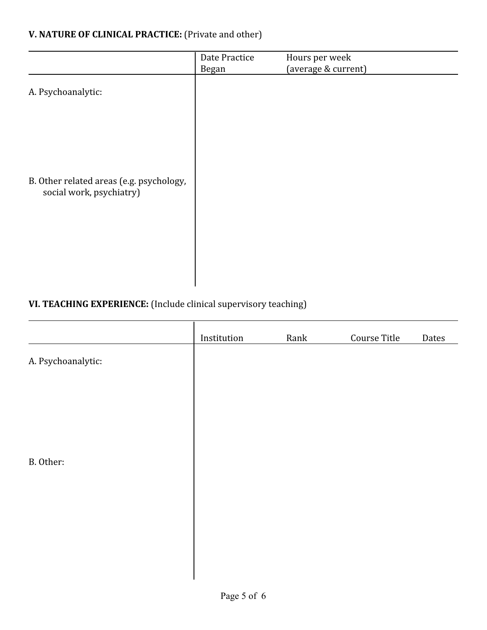### **V. NATURE OF CLINICAL PRACTICE:** (Private and other)

| Date Practice<br><b>Began</b> | Hours per week<br>(average & current) |  |
|-------------------------------|---------------------------------------|--|
|                               |                                       |  |
|                               |                                       |  |
|                               |                                       |  |
|                               |                                       |  |
|                               |                                       |  |
|                               |                                       |  |
|                               |                                       |  |

### **VI. TEACHING EXPERIENCE:** (Include clinical supervisory teaching)

|                    | Institution | Rank | Course Title | Dates |
|--------------------|-------------|------|--------------|-------|
| A. Psychoanalytic: |             |      |              |       |
|                    |             |      |              |       |
|                    |             |      |              |       |
|                    |             |      |              |       |
| B. Other:          |             |      |              |       |
|                    |             |      |              |       |
|                    |             |      |              |       |
|                    |             |      |              |       |
|                    |             |      |              |       |
|                    |             |      |              |       |